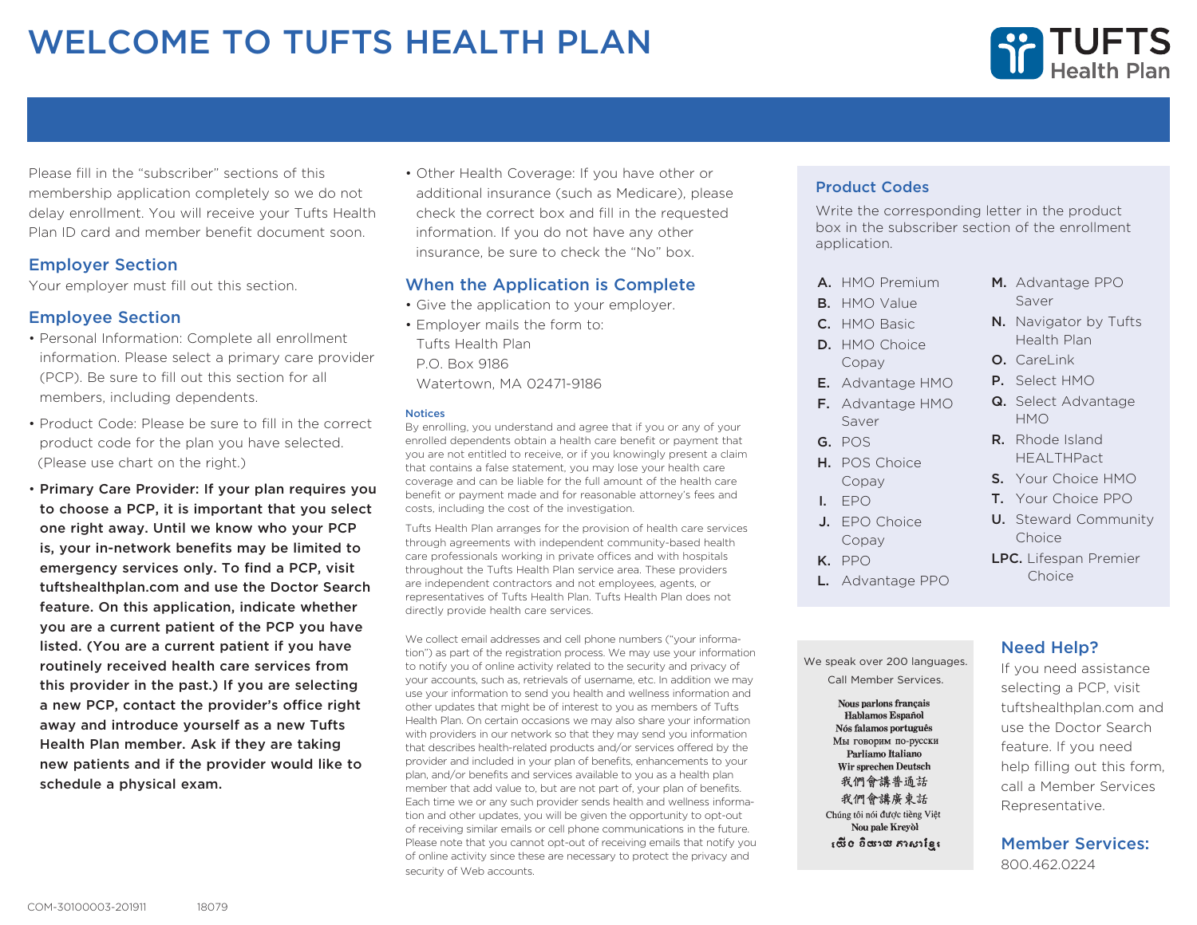# WELCOME TO TUFTS HEALTH PLAN



Please fill in the "subscriber" sections of this membership application completely so we do not delay enrollment. You will receive your Tufts Health Plan ID card and member benefit document soon.

## Employer Section

Your employer must fill out this section.

## Employee Section

- Personal Information: Complete all enrollment information. Please select a primary care provider (PCP). Be sure to fill out this section for all members, including dependents.
- Product Code: Please be sure to fill in the correct product code for the plan you have selected. (Please use chart on the right.)
- Primary Care Provider: If your plan requires you to choose a PCP, it is important that you select one right away. Until we know who your PCP is, your in-network benefits may be limited to emergency services only. To find a PCP, visit tuftshealthplan.com and use the Doctor Search feature. On this application, indicate whether you are a current patient of the PCP you have listed. (You are a current patient if you have routinely received health care services from this provider in the past.) If you are selecting a new PCP, contact the provider's office right away and introduce yourself as a new Tufts Health Plan member. Ask if they are taking new patients and if the provider would like to schedule a physical exam.

• Other Health Coverage: If you have other or additional insurance (such as Medicare), please check the correct box and fill in the requested information. If you do not have any other insurance, be sure to check the "No" box.

## When the Application is Complete

- Give the application to your employer.
- Employer mails the form to: Tufts Health Plan P.O. Box 9186 Watertown, MA 02471-9186

### **Notices**

By enrolling, you understand and agree that if you or any of your enrolled dependents obtain a health care benefit or payment that you are not entitled to receive, or if you knowingly present a claim that contains a false statement, you may lose your health care coverage and can be liable for the full amount of the health care benefit or payment made and for reasonable attorney's fees and costs, including the cost of the investigation.

Tufts Health Plan arranges for the provision of health care services through agreements with independent community-based health care professionals working in private offices and with hospitals throughout the Tufts Health Plan service area. These providers are independent contractors and not employees, agents, or representatives of Tufts Health Plan. Tufts Health Plan does not directly provide health care services.

We collect email addresses and cell phone numbers ("your information") as part of the registration process. We may use your information to notify you of online activity related to the security and privacy of your accounts, such as, retrievals of username, etc. In addition we may use your information to send you health and wellness information and other updates that might be of interest to you as members of Tufts Health Plan. On certain occasions we may also share your information with providers in our network so that they may send you information that describes health-related products and/or services offered by the provider and included in your plan of benefits, enhancements to your plan, and/or benefits and services available to you as a health plan member that add value to, but are not part of, your plan of benefits. Each time we or any such provider sends health and wellness information and other updates, you will be given the opportunity to opt-out of receiving similar emails or cell phone communications in the future. Please note that you cannot opt-out of receiving emails that notify you of online activity since these are necessary to protect the privacy and security of Web accounts.

## Product Codes

Write the corresponding letter in the product box in the subscriber section of the enrollment application.

- A. HMO Premium
- B. HMO Value
- C. HMO Basic
- D. HMO Choice Copay
- E. Advantage HMO
- F. Advantage HMO Saver
- G. POS
- H. POS Choice Copay
- I. EPO
- J. EPO Choice Copay
- K. PPO
- L. Advantage PPO

We speak over 200 languages. Call Member Services.**Nous parlons français** Hablamos Español Nós falamos português Мы говорим по-русски Parliamo Italiano Wir sprechen Deutsch 我們會講普通話 我們會講廣東話 Chúng tôi nói được tiềng Việt Nou pale Kreyol សើខ និយាយ ភាសាខ្មែរ

M. Advantage PPO Saver

- N. Navigator by Tufts Health Plan
- O. Carel ink
- P. Select HMO
- Q. Select Advantage HMO
- R. Rhode Island HEALTHPact
- S. Your Choice HMO
- T. Your Choice PPO
- U. Steward Community Choice
- LPC. Lifespan Premier Choice

## Need Help?

If you need assistance selecting a PCP, visit tuftshealthplan.com and use the Doctor Search feature. If you need help filling out this form, call a Member Services Representative.

### Member Services: 800.462.0224

18079 COM-30100003-201911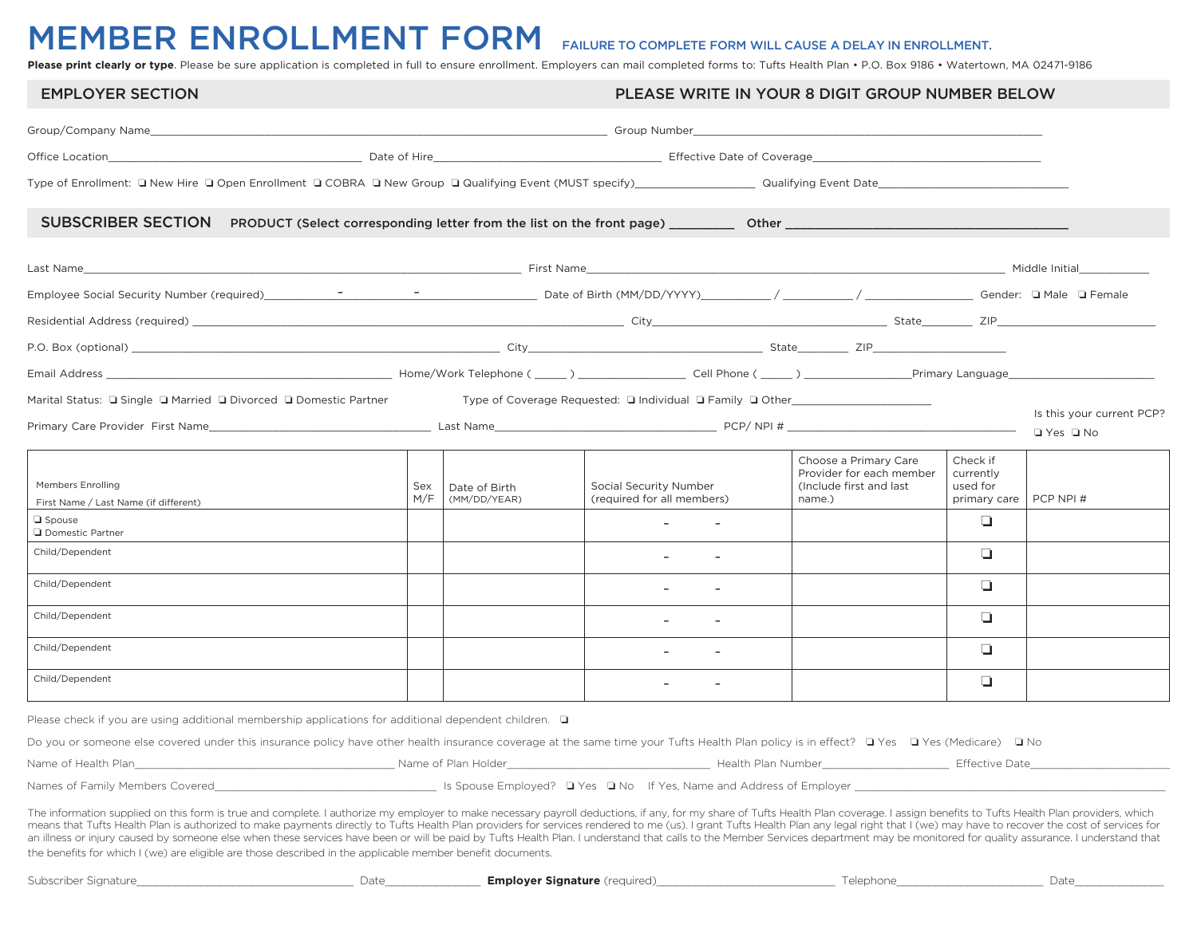## MEMBER ENROLLMENT FORM FAILURE TO COMPLETE FORM WILL CAUSE A DELAY IN ENROLLMENT.

Please print clearly or type. Please be sure application is completed in full to ensure enrollment. Employers can mail completed forms to: Tufts Health Plan • P.O. Box 9186 • Watertown, MA 02471-9186

| <b>EMPLOYER SECTION</b>                                                                                                                                                                                                                                                                                                                                                                                                                                                                                                                                                                                                                                                                                                                                                                                          |            |                                      | PLEASE WRITE IN YOUR 8 DIGIT GROUP NUMBER BELOW                                  |                                                                                                                                                                                                                                      |                                                   |                                                   |  |
|------------------------------------------------------------------------------------------------------------------------------------------------------------------------------------------------------------------------------------------------------------------------------------------------------------------------------------------------------------------------------------------------------------------------------------------------------------------------------------------------------------------------------------------------------------------------------------------------------------------------------------------------------------------------------------------------------------------------------------------------------------------------------------------------------------------|------------|--------------------------------------|----------------------------------------------------------------------------------|--------------------------------------------------------------------------------------------------------------------------------------------------------------------------------------------------------------------------------------|---------------------------------------------------|---------------------------------------------------|--|
|                                                                                                                                                                                                                                                                                                                                                                                                                                                                                                                                                                                                                                                                                                                                                                                                                  |            |                                      |                                                                                  |                                                                                                                                                                                                                                      |                                                   |                                                   |  |
|                                                                                                                                                                                                                                                                                                                                                                                                                                                                                                                                                                                                                                                                                                                                                                                                                  |            |                                      |                                                                                  | Office Location <b>Contract Contract Contract Contract Contract Contract Contract Contract Contract Contract Contract Contract Contract Contract Contract Contract Contract Contract Contract Contract Contract Contract Contrac</b> |                                                   |                                                   |  |
|                                                                                                                                                                                                                                                                                                                                                                                                                                                                                                                                                                                                                                                                                                                                                                                                                  |            |                                      |                                                                                  |                                                                                                                                                                                                                                      |                                                   |                                                   |  |
| SUBSCRIBER SECTION PRODUCT (Select corresponding letter from the list on the front page) ___________ Other ____                                                                                                                                                                                                                                                                                                                                                                                                                                                                                                                                                                                                                                                                                                  |            |                                      |                                                                                  |                                                                                                                                                                                                                                      |                                                   |                                                   |  |
|                                                                                                                                                                                                                                                                                                                                                                                                                                                                                                                                                                                                                                                                                                                                                                                                                  |            |                                      |                                                                                  |                                                                                                                                                                                                                                      |                                                   |                                                   |  |
|                                                                                                                                                                                                                                                                                                                                                                                                                                                                                                                                                                                                                                                                                                                                                                                                                  |            |                                      |                                                                                  |                                                                                                                                                                                                                                      |                                                   |                                                   |  |
|                                                                                                                                                                                                                                                                                                                                                                                                                                                                                                                                                                                                                                                                                                                                                                                                                  |            |                                      |                                                                                  |                                                                                                                                                                                                                                      |                                                   |                                                   |  |
|                                                                                                                                                                                                                                                                                                                                                                                                                                                                                                                                                                                                                                                                                                                                                                                                                  |            |                                      |                                                                                  |                                                                                                                                                                                                                                      |                                                   |                                                   |  |
|                                                                                                                                                                                                                                                                                                                                                                                                                                                                                                                                                                                                                                                                                                                                                                                                                  |            |                                      |                                                                                  |                                                                                                                                                                                                                                      |                                                   |                                                   |  |
| Marital Status: □ Single □ Married □ Divorced □ Domestic Partner                                                                                                                                                                                                                                                                                                                                                                                                                                                                                                                                                                                                                                                                                                                                                 |            |                                      | Type of Coverage Requested: □ Individual □ Family □ Other_______________________ |                                                                                                                                                                                                                                      |                                                   | Is this your current PCP?<br>$\Box$ Yes $\Box$ No |  |
| <b>Members Enrolling</b><br>First Name / Last Name (if different)                                                                                                                                                                                                                                                                                                                                                                                                                                                                                                                                                                                                                                                                                                                                                | Sex<br>M/F | Date of Birth<br>(MM/DD/YEAR)        | Social Security Number<br>(required for all members)                             | Choose a Primary Care<br>Provider for each member<br>(Include first and last<br>name.)                                                                                                                                               | Check if<br>currently<br>used for<br>primary care | PCP NPI #                                         |  |
| $\Box$ Spouse<br>Domestic Partner                                                                                                                                                                                                                                                                                                                                                                                                                                                                                                                                                                                                                                                                                                                                                                                |            |                                      |                                                                                  |                                                                                                                                                                                                                                      | $\Box$                                            |                                                   |  |
| Child/Dependent                                                                                                                                                                                                                                                                                                                                                                                                                                                                                                                                                                                                                                                                                                                                                                                                  |            |                                      |                                                                                  |                                                                                                                                                                                                                                      | $\Box$                                            |                                                   |  |
| Child/Dependent                                                                                                                                                                                                                                                                                                                                                                                                                                                                                                                                                                                                                                                                                                                                                                                                  |            |                                      |                                                                                  |                                                                                                                                                                                                                                      | $\Box$                                            |                                                   |  |
| Child/Dependent                                                                                                                                                                                                                                                                                                                                                                                                                                                                                                                                                                                                                                                                                                                                                                                                  |            |                                      |                                                                                  |                                                                                                                                                                                                                                      | $\Box$                                            |                                                   |  |
| Child/Dependent                                                                                                                                                                                                                                                                                                                                                                                                                                                                                                                                                                                                                                                                                                                                                                                                  |            |                                      | All Controller                                                                   |                                                                                                                                                                                                                                      | $\Box$                                            |                                                   |  |
| Child/Dependent                                                                                                                                                                                                                                                                                                                                                                                                                                                                                                                                                                                                                                                                                                                                                                                                  |            |                                      | $\overline{a}$                                                                   |                                                                                                                                                                                                                                      | $\Box$                                            |                                                   |  |
| Please check if you are using additional membership applications for additional dependent children. $\Box$                                                                                                                                                                                                                                                                                                                                                                                                                                                                                                                                                                                                                                                                                                       |            |                                      |                                                                                  |                                                                                                                                                                                                                                      |                                                   |                                                   |  |
| Do you or someone else covered under this insurance policy have other health insurance coverage at the same time your Tufts Health Plan policy is in effect? □ Yes □ Yes (Medicare) □ No                                                                                                                                                                                                                                                                                                                                                                                                                                                                                                                                                                                                                         |            |                                      |                                                                                  |                                                                                                                                                                                                                                      |                                                   |                                                   |  |
|                                                                                                                                                                                                                                                                                                                                                                                                                                                                                                                                                                                                                                                                                                                                                                                                                  |            |                                      |                                                                                  | Health Plan Number______________________                                                                                                                                                                                             |                                                   | Effective Date                                    |  |
| Names of Family Members Covered                                                                                                                                                                                                                                                                                                                                                                                                                                                                                                                                                                                                                                                                                                                                                                                  |            |                                      | Is Spouse Employed? □ Yes □ No If Yes, Name and Address of Employer              |                                                                                                                                                                                                                                      |                                                   |                                                   |  |
| The information supplied on this form is true and complete. I authorize my employer to make necessary payroll deductions, if any, for my share of Tufts Health Plan coverage. I assign benefits to Tufts Health Plan providers<br>means that Tufts Health Plan is authorized to make payments directly to Tufts Health Plan providers for services rendered to me (us). I grant Tufts Health Plan any legal right that I (we) may have to recover the cost of se<br>an illness or injury caused by someone else when these services have been or will be paid by Tufts Health Plan. I understand that calls to the Member Services department may be monitored for quality assurance. I understand<br>the benefits for which I (we) are eligible are those described in the applicable member benefit documents. |            |                                      |                                                                                  |                                                                                                                                                                                                                                      |                                                   |                                                   |  |
| Subscriber Signature                                                                                                                                                                                                                                                                                                                                                                                                                                                                                                                                                                                                                                                                                                                                                                                             | Date       | <b>Emplover Signature</b> (required) |                                                                                  | Telephone                                                                                                                                                                                                                            |                                                   | Date                                              |  |